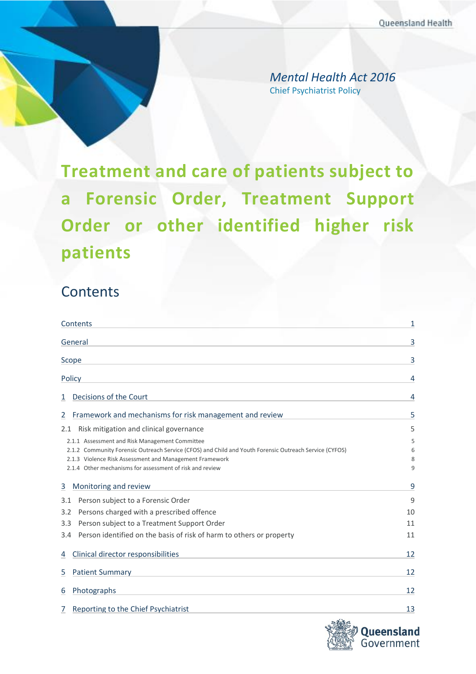Chief Psychiatrist Policy *Mental Health Act 2016*

<span id="page-0-0"></span>**Treatment and care of patients subject to a Forensic Order, Treatment Support Order or other identified higher risk patients**

# **Contents**

| Contents                                                                                               |    |
|--------------------------------------------------------------------------------------------------------|----|
| General                                                                                                | 3  |
| Scope                                                                                                  | 3  |
| Policy                                                                                                 | 4  |
| Decisions of the Court<br>1                                                                            | 4  |
| Framework and mechanisms for risk management and review<br>2                                           | 5  |
| Risk mitigation and clinical governance<br>2.1                                                         | 5  |
| 2.1.1 Assessment and Risk Management Committee                                                         | 5  |
| 2.1.2 Community Forensic Outreach Service (CFOS) and Child and Youth Forensic Outreach Service (CYFOS) | 6  |
| 2.1.3 Violence Risk Assessment and Management Framework                                                | 8  |
| 2.1.4 Other mechanisms for assessment of risk and review                                               | 9  |
| Monitoring and review<br>3                                                                             | 9  |
| Person subject to a Forensic Order<br>3.1                                                              | 9  |
| Persons charged with a prescribed offence<br>3.2                                                       | 10 |
| Person subject to a Treatment Support Order<br>3.3 <sub>2</sub>                                        | 11 |
| Person identified on the basis of risk of harm to others or property<br>3.4                            | 11 |
| Clinical director responsibilities<br>4                                                                | 12 |
| <b>Patient Summary</b><br>5                                                                            | 12 |
| Photographs<br>6                                                                                       | 12 |
| Reporting to the Chief Psychiatrist<br>7                                                               | 13 |

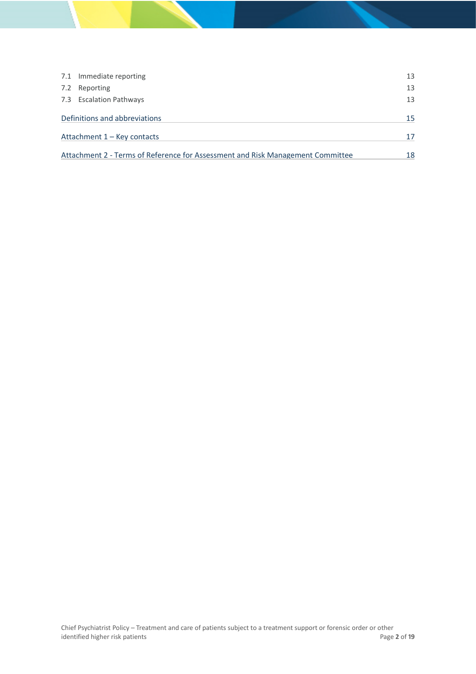| 7.1 Immediate reporting                                                        | 13 |
|--------------------------------------------------------------------------------|----|
| 7.2 Reporting                                                                  | 13 |
| 7.3 Escalation Pathways                                                        | 13 |
| Definitions and abbreviations                                                  | 15 |
| Attachment 1 – Key contacts                                                    | 17 |
| Attachment 2 - Terms of Reference for Assessment and Risk Management Committee | 18 |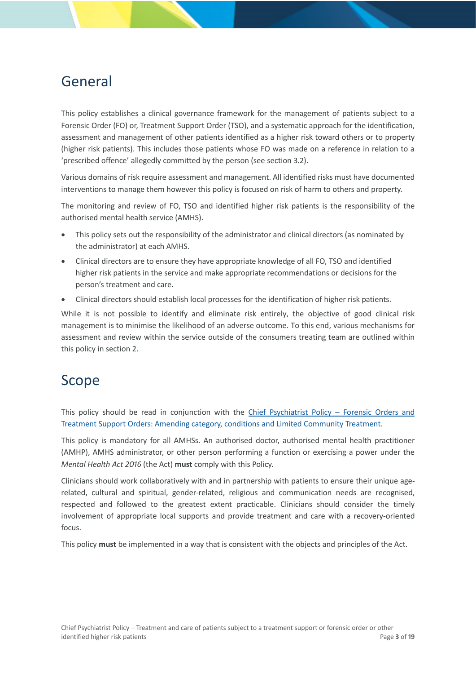# <span id="page-2-0"></span>General

This policy establishes a clinical governance framework for the management of patients subject to a Forensic Order (FO) or, Treatment Support Order (TSO), and a systematic approach for the identification, assessment and management of other patients identified as a higher risk toward others or to property (higher risk patients). This includes those patients whose FO was made on a reference in relation to a 'prescribed offence' allegedly committed by the person (see section [3.2\)](#page-9-0).

Various domains of risk require assessment and management. All identified risks must have documented interventions to manage them however this policy is focused on risk of harm to others and property.

The monitoring and review of FO, TSO and identified higher risk patients is the responsibility of the authorised mental health service (AMHS).

- This policy sets out the responsibility of the administrator and clinical directors (as nominated by the administrator) at each AMHS.
- Clinical directors are to ensure they have appropriate knowledge of all FO, TSO and identified higher risk patients in the service and make appropriate recommendations or decisions for the person's treatment and care.
- Clinical directors should establish local processes for the identification of higher risk patients.

While it is not possible to identify and eliminate risk entirely, the objective of good clinical risk management is to minimise the likelihood of an adverse outcome. To this end, various mechanisms for assessment and review within the service outside of the consumers treating team are outlined within this policy in sectio[n 2.](#page-4-0)

## <span id="page-2-1"></span>Scope

This policy should be read in conjunction with the [Chief Psychiatrist Policy –](https://www.health.qld.gov.au/__data/assets/pdf_file/0036/629748/pg_fo_tso_amendment.pdf) Forensic Orders and [Treatment Support Orders: Amending category, conditions and Limited Community Treatment.](https://www.health.qld.gov.au/__data/assets/pdf_file/0036/629748/pg_fo_tso_amendment.pdf)

This policy is mandatory for all AMHSs. An authorised doctor, authorised mental health practitioner (AMHP), AMHS administrator, or other person performing a function or exercising a power under the *Mental Health Act 2016* (the Act) **must** comply with this Policy.

Clinicians should work collaboratively with and in partnership with patients to ensure their unique agerelated, cultural and spiritual, gender-related, religious and communication needs are recognised, respected and followed to the greatest extent practicable. Clinicians should consider the timely involvement of appropriate local supports and provide treatment and care with a recovery-oriented focus.

This policy **must** be implemented in a way that is consistent with the objects and principles of the Act.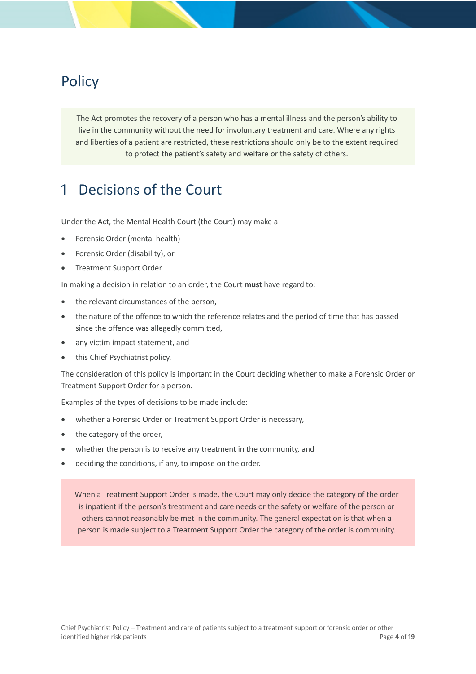# <span id="page-3-0"></span>**Policy**

The Act promotes the recovery of a person who has a mental illness and the person's ability to live in the community without the need for involuntary treatment and care. Where any rights and liberties of a patient are restricted, these restrictions should only be to the extent required to protect the patient's safety and welfare or the safety of others.

## <span id="page-3-1"></span>1 Decisions of the Court

Under the Act, the Mental Health Court (the Court) may make a:

- Forensic Order (mental health)
- Forensic Order (disability), or
- Treatment Support Order.

In making a decision in relation to an order, the Court **must** have regard to:

- the relevant circumstances of the person,
- the nature of the offence to which the reference relates and the period of time that has passed since the offence was allegedly committed,
- any victim impact statement, and
- this Chief Psychiatrist policy.

The consideration of this policy is important in the Court deciding whether to make a Forensic Order or Treatment Support Order for a person.

Examples of the types of decisions to be made include:

- whether a Forensic Order or Treatment Support Order is necessary,
- the category of the order,
- whether the person is to receive any treatment in the community, and
- deciding the conditions, if any, to impose on the order.

When a Treatment Support Order is made, the Court may only decide the category of the order is inpatient if the person's treatment and care needs or the safety or welfare of the person or others cannot reasonably be met in the community. The general expectation is that when a person is made subject to a Treatment Support Order the category of the order is community.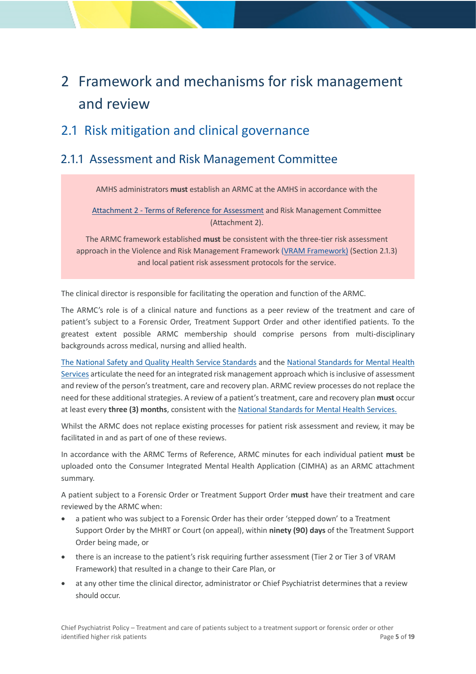# <span id="page-4-0"></span>2 Framework and mechanisms for risk management and review

## <span id="page-4-1"></span>2.1 Risk mitigation and clinical governance

## <span id="page-4-2"></span>2.1.1 Assessment and Risk Management Committee

AMHS administrators **must** establish an ARMC at the AMHS in accordance with th[e](#page-16-1) 

Attachment 2 - [Terms of Reference for Assessment](#page-16-1) and Risk Management Committee (Attachment 2).

The ARMC framework established **must** be consistent with the three-tier risk assessment approach in the Violence and Risk Management Framework [\(VRAM Framework\)](https://www.health.qld.gov.au/__data/assets/pdf_file/0027/856242/viol-risk-framework.pdf) (Section [2.1.3\)](#page-7-0) and local patient risk assessment protocols for the service.

The clinical director is responsible for facilitating the operation and function of the ARMC.

The ARMC's role is of a clinical nature and functions as a peer review of the treatment and care of patient's subject to a Forensic Order, Treatment Support Order and other identified patients. To the greatest extent possible ARMC membership should comprise persons from multi-disciplinary backgrounds across medical, nursing and allied health.

[The National Safety and Quality Health Service Standards](https://www.safetyandquality.gov.au/sites/default/files/migrated/National-Safety-and-Quality-Health-Service-Standards-second-edition.pdf) and the [National Standards for Mental Health](https://www1.health.gov.au/internet/main/publishing.nsf/content/CFA833CB8C1AA178CA257BF0001E7520/$File/servst10v2.pdf)  [Services](https://www1.health.gov.au/internet/main/publishing.nsf/content/CFA833CB8C1AA178CA257BF0001E7520/$File/servst10v2.pdf) articulate the need for an integrated risk management approach which is inclusive of assessment and review of the person's treatment, care and recovery plan. ARMC review processes do not replace the need for these additional strategies. A review of a patient's treatment, care and recovery plan **must** occur at least every **three (3) months**, consistent with th[e National Standards for Mental Health Services.](https://www1.health.gov.au/internet/main/publishing.nsf/content/CFA833CB8C1AA178CA257BF0001E7520/$File/servst10v2.pdf)

Whilst the ARMC does not replace existing processes for patient risk assessment and review, it may be facilitated in and as part of one of these reviews.

In accordance with the ARMC Terms of Reference, ARMC minutes for each individual patient **must** be uploaded onto the Consumer Integrated Mental Health Application (CIMHA) as an ARMC attachment summary.

A patient subject to a Forensic Order or Treatment Support Order **must** have their treatment and care reviewed by the ARMC when:

- a patient who was subject to a Forensic Order has their order 'stepped down' to a Treatment Support Order by the MHRT or Court (on appeal), within **ninety (90) days** of the Treatment Support Order being made, or
- there is an increase to the patient's risk requiring further assessment (Tier 2 or Tier 3 of VRAM Framework) that resulted in a change to their Care Plan, or
- at any other time the clinical director, administrator or Chief Psychiatrist determines that a review should occur.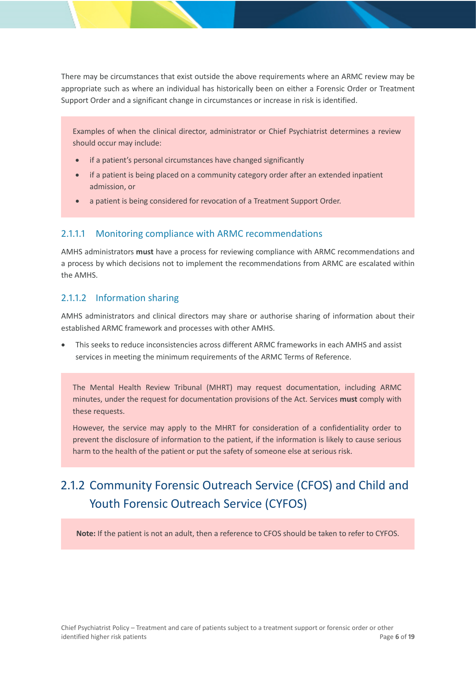There may be circumstances that exist outside the above requirements where an ARMC review may be appropriate such as where an individual has historically been on either a Forensic Order or Treatment Support Order and a significant change in circumstances or increase in risk is identified.

Examples of when the clinical director, administrator or Chief Psychiatrist determines a review should occur may include:

- if a patient's personal circumstances have changed significantly
- if a patient is being placed on a community category order after an extended inpatient admission, or
- a patient is being considered for revocation of a Treatment Support Order.

#### 2.1.1.1 Monitoring compliance with ARMC recommendations

AMHS administrators **must** have a process for reviewing compliance with ARMC recommendations and a process by which decisions not to implement the recommendations from ARMC are escalated within the AMHS.

#### 2.1.1.2 Information sharing

AMHS administrators and clinical directors may share or authorise sharing of information about their established ARMC framework and processes with other AMHS.

• This seeks to reduce inconsistencies across different ARMC frameworks in each AMHS and assist services in meeting the minimum requirements of the ARMC Terms of Reference.

The Mental Health Review Tribunal (MHRT) may request documentation, including ARMC minutes, under the request for documentation provisions of the Act. Services **must** comply with these requests.

However, the service may apply to the MHRT for consideration of a confidentiality order to prevent the disclosure of information to the patient, if the information is likely to cause serious harm to the health of the patient or put the safety of someone else at serious risk.

## <span id="page-5-0"></span>2.1.2 Community Forensic Outreach Service (CFOS) and Child and Youth Forensic Outreach Service (CYFOS)

**Note:** If the patient is not an adult, then a reference to CFOS should be taken to refer to CYFOS.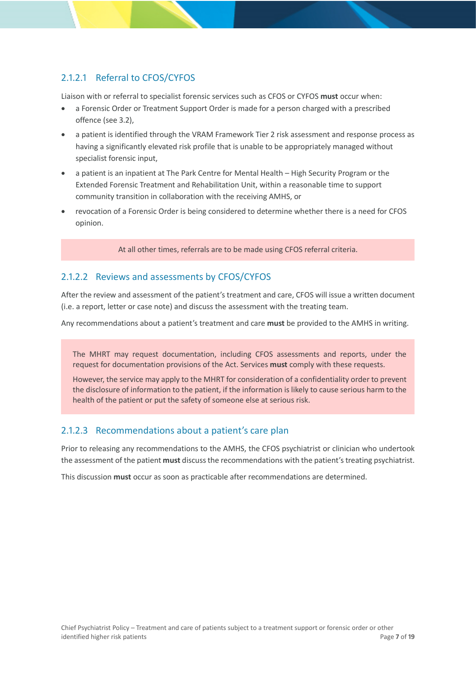### 2.1.2.1 Referral to CFOS/CYFOS

Liaison with or referral to specialist forensic services such as CFOS or CYFOS **must** occur when:

- a Forensic Order or Treatment Support Order is made for a person charged with a prescribed offence (see 3.2),
- a patient is identified through the VRAM Framework Tier 2 risk assessment and response process as having a significantly elevated risk profile that is unable to be appropriately managed without specialist forensic input,
- a patient is an inpatient at The Park Centre for Mental Health High Security Program or the Extended Forensic Treatment and Rehabilitation Unit, within a reasonable time to support community transition in collaboration with the receiving AMHS, or
- revocation of a Forensic Order is being considered to determine whether there is a need for CFOS opinion.

At all other times, referrals are to be made using CFOS referral criteria.

### 2.1.2.2 Reviews and assessments by CFOS/CYFOS

After the review and assessment of the patient's treatment and care, CFOS will issue a written document (i.e. a report, letter or case note) and discuss the assessment with the treating team.

Any recommendations about a patient's treatment and care **must** be provided to the AMHS in writing.

The MHRT may request documentation, including CFOS assessments and reports, under the request for documentation provisions of the Act. Services **must** comply with these requests.

However, the service may apply to the MHRT for consideration of a confidentiality order to prevent the disclosure of information to the patient, if the information is likely to cause serious harm to the health of the patient or put the safety of someone else at serious risk.

### 2.1.2.3 Recommendations about a patient's care plan

Prior to releasing any recommendations to the AMHS, the CFOS psychiatrist or clinician who undertook the assessment of the patient **must** discuss the recommendations with the patient's treating psychiatrist.

This discussion **must** occur as soon as practicable after recommendations are determined.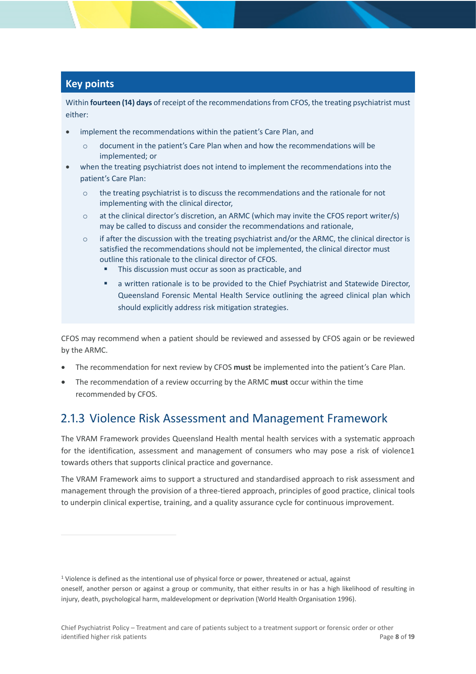## **Key points**

Within **fourteen (14) days** of receipt of the recommendations from CFOS, the treating psychiatrist must either:

- implement the recommendations within the patient's Care Plan, and
	- o document in the patient's Care Plan when and how the recommendations will be implemented; or
- when the treating psychiatrist does not intend to implement the recommendations into the patient's Care Plan:
	- $\circ$  the treating psychiatrist is to discuss the recommendations and the rationale for not implementing with the clinical director,
	- $\circ$  at the clinical director's discretion, an ARMC (which may invite the CFOS report writer/s) may be called to discuss and consider the recommendations and rationale,
	- $\circ$  if after the discussion with the treating psychiatrist and/or the ARMC, the clinical director is satisfied the recommendations should not be implemented, the clinical director must outline this rationale to the clinical director of CFOS.
		- This discussion must occur as soon as practicable, and
		- a written rationale is to be provided to the Chief Psychiatrist and Statewide Director, Queensland Forensic Mental Health Service outlining the agreed clinical plan which should explicitly address risk mitigation strategies.

CFOS may recommend when a patient should be reviewed and assessed by CFOS again or be reviewed by the ARMC.

- The recommendation for next review by CFOS **must** be implemented into the patient's Care Plan.
- The recommendation of a review occurring by the ARMC **must** occur within the time recommended by CFOS.

## <span id="page-7-0"></span>2.1.3 Violence Risk Assessment and Management Framework

The VRAM Framework provides Queensland Health mental health services with a systematic approach for the identification, assessment and management of consumers who may pose a risk of violence1 towards others that supports clinical practice and governance.

The VRAM Framework aims to support a structured and standardised approach to risk assessment and management through the provision of a three-tiered approach, principles of good practice, clinical tools to underpin clinical expertise, training, and a quality assurance cycle for continuous improvement.

<sup>1</sup> Violence is defined as the intentional use of physical force or power, threatened or actual, against oneself, another person or against a group or community, that either results in or has a high likelihood of resulting in injury, death, psychological harm, maldevelopment or deprivation (World Health Organisation 1996).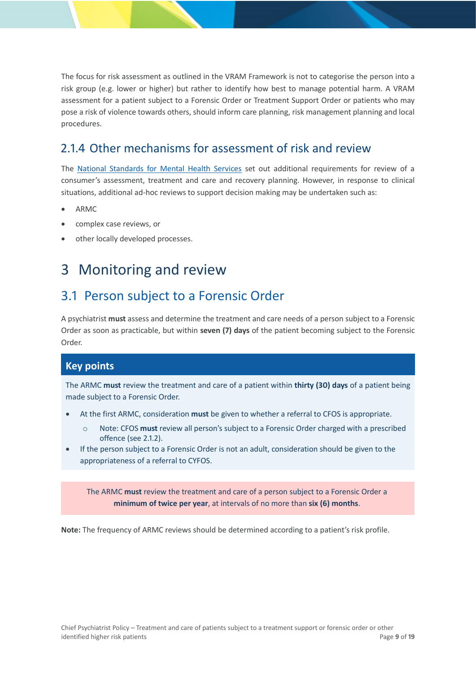The focus for risk assessment as outlined in the VRAM Framework is not to categorise the person into a risk group (e.g. lower or higher) but rather to identify how best to manage potential harm. A VRAM assessment for a patient subject to a Forensic Order or Treatment Support Order or patients who may pose a risk of violence towards others, should inform care planning, risk management planning and local procedures.

## <span id="page-8-0"></span>2.1.4 Other mechanisms for assessment of risk and review

The [National Standards for Mental Health Services](https://www1.health.gov.au/internet/main/publishing.nsf/content/CFA833CB8C1AA178CA257BF0001E7520/$File/servst10v2.pdf) set out additional requirements for review of a consumer's assessment, treatment and care and recovery planning. However, in response to clinical situations, additional ad-hoc reviews to support decision making may be undertaken such as:

- ARMC
- complex case reviews, or
- other locally developed processes.

# <span id="page-8-1"></span>3 Monitoring and review

## <span id="page-8-2"></span>3.1 Person subject to a Forensic Order

A psychiatrist **must** assess and determine the treatment and care needs of a person subject to a Forensic Order as soon as practicable, but within **seven (7) days** of the patient becoming subject to the Forensic Order.

### **Key points**

The ARMC **must** review the treatment and care of a patient within **thirty (30) days** of a patient being made subject to a Forensic Order.

- At the first ARMC, consideration **must** be given to whether a referral to CFOS is appropriate.
	- o Note: CFOS **must** review all person's subject to a Forensic Order charged with a prescribed offence (see [2.1.2\)](#page-5-0).
- If the person subject to a Forensic Order is not an adult, consideration should be given to the appropriateness of a referral to CYFOS.

The ARMC **must** review the treatment and care of a person subject to a Forensic Order a **minimum of twice per year**, at intervals of no more than **six (6) months**.

**Note:** The frequency of ARMC reviews should be determined according to a patient's risk profile.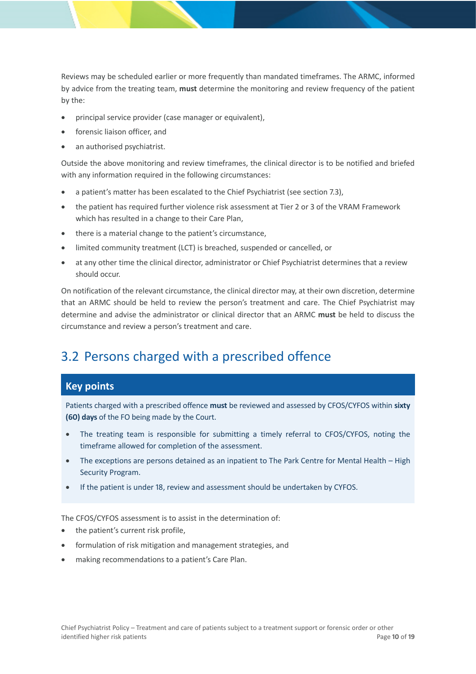Reviews may be scheduled earlier or more frequently than mandated timeframes. The ARMC, informed by advice from the treating team, **must** determine the monitoring and review frequency of the patient by the:

- principal service provider (case manager or equivalent),
- forensic liaison officer, and
- an authorised psychiatrist.

Outside the above monitoring and review timeframes, the clinical director is to be notified and briefed with any information required in the following circumstances:

- a patient's matter has been escalated to the Chief Psychiatrist (see section 7.3),
- the patient has required further violence risk assessment at Tier 2 or 3 of the VRAM Framework which has resulted in a change to their Care Plan,
- there is a material change to the patient's circumstance,
- limited community treatment (LCT) is breached, suspended or cancelled, or
- at any other time the clinical director, administrator or Chief Psychiatrist determines that a review should occur.

On notification of the relevant circumstance, the clinical director may, at their own discretion, determine that an ARMC should be held to review the person's treatment and care. The Chief Psychiatrist may determine and advise the administrator or clinical director that an ARMC **must** be held to discuss the circumstance and review a person's treatment and care.

## <span id="page-9-0"></span>3.2 Persons charged with a prescribed offence

### **Key points**

Patients charged with a prescribed offence **must** be reviewed and assessed by CFOS/CYFOS within **sixty (60) days** of the FO being made by the Court.

- The treating team is responsible for submitting a timely referral to CFOS/CYFOS, noting the timeframe allowed for completion of the assessment.
- The exceptions are persons detained as an inpatient to The Park Centre for Mental Health High Security Program.
- If the patient is under 18, review and assessment should be undertaken by CYFOS.

The CFOS/CYFOS assessment is to assist in the determination of:

- the patient's current risk profile,
- formulation of risk mitigation and management strategies, and
- making recommendations to a patient's Care Plan.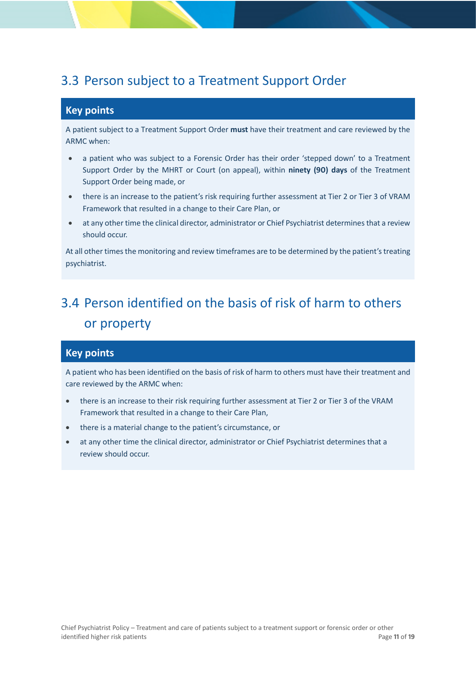## <span id="page-10-0"></span>3.3 Person subject to a Treatment Support Order

### **Key points**

A patient subject to a Treatment Support Order **must** have their treatment and care reviewed by the ARMC when:

- a patient who was subject to a Forensic Order has their order 'stepped down' to a Treatment Support Order by the MHRT or Court (on appeal), within **ninety (90) days** of the Treatment Support Order being made, or
- there is an increase to the patient's risk requiring further assessment at Tier 2 or Tier 3 of VRAM Framework that resulted in a change to their Care Plan, or
- at any other time the clinical director, administrator or Chief Psychiatrist determines that a review should occur.

At all other times the monitoring and review timeframes are to be determined by the patient's treating psychiatrist.

# <span id="page-10-1"></span>3.4 Person identified on the basis of risk of harm to others or property

### **Key points**

A patient who has been identified on the basis of risk of harm to others must have their treatment and care reviewed by the ARMC when:

- there is an increase to their risk requiring further assessment at Tier 2 or Tier 3 of the VRAM Framework that resulted in a change to their Care Plan,
- there is a material change to the patient's circumstance, or
- at any other time the clinical director, administrator or Chief Psychiatrist determines that a review should occur.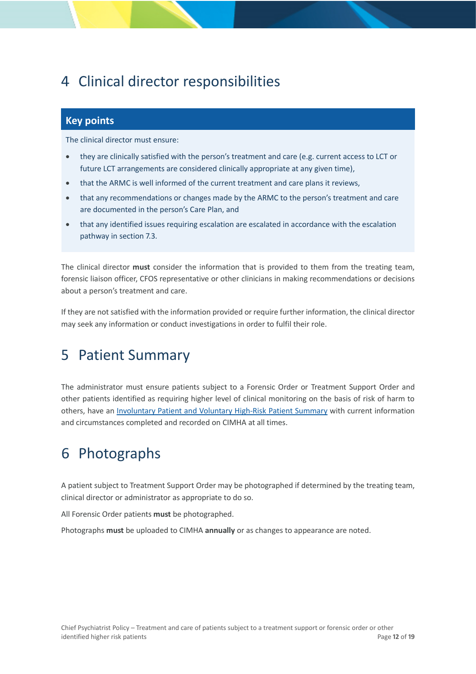# <span id="page-11-0"></span>4 Clinical director responsibilities

## **Key points**

The clinical director must ensure:

- they are clinically satisfied with the person's treatment and care (e.g. current access to LCT or future LCT arrangements are considered clinically appropriate at any given time),
- that the ARMC is well informed of the current treatment and care plans it reviews,
- that any recommendations or changes made by the ARMC to the person's treatment and care are documented in the person's Care Plan, and
- that any identified issues requiring escalation are escalated in accordance with the escalation pathway in section 7.3.

The clinical director **must** consider the information that is provided to them from the treating team, forensic liaison officer, CFOS representative or other clinicians in making recommendations or decisions about a person's treatment and care.

If they are not satisfied with the information provided or require further information, the clinical director may seek any information or conduct investigations in order to fulfil their role.

# <span id="page-11-1"></span>5 Patient Summary

The administrator must ensure patients subject to a Forensic Order or Treatment Support Order and other patients identified as requiring higher level of clinical monitoring on the basis of risk of harm to others, have an [Involuntary Patient and Voluntary High-Risk Patient Summary](https://www.health.qld.gov.au/__data/assets/pdf_file/0033/627756/cn_ipvhrps.pdf) with current information and circumstances completed and recorded on CIMHA at all times.

# <span id="page-11-2"></span>6 Photographs

A patient subject to Treatment Support Order may be photographed if determined by the treating team, clinical director or administrator as appropriate to do so.

All Forensic Order patients **must** be photographed.

Photographs **must** be uploaded to CIMHA **annually** or as changes to appearance are noted.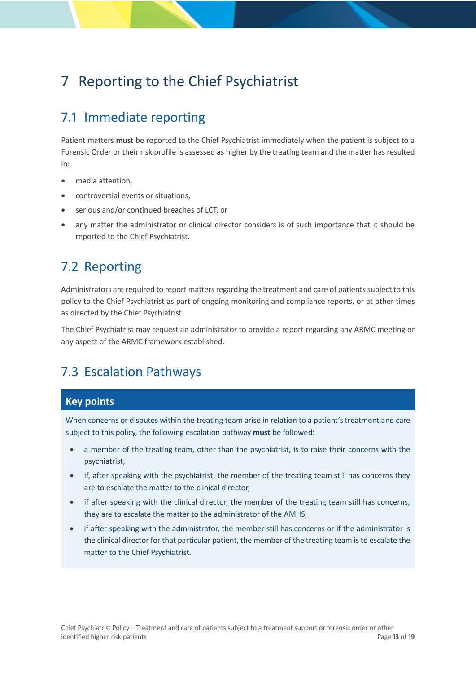# <span id="page-12-0"></span>7 Reporting to the Chief Psychiatrist

## <span id="page-12-1"></span>7.1 Immediate reporting

Patient matters **must** be reported to the Chief Psychiatrist immediately when the patient is subject to a Forensic Order or their risk profile is assessed as higher by the treating team and the matter has resulted in:

- media attention.
- controversial events or situations,
- serious and/or continued breaches of LCT, or
- any matter the administrator or clinical director considers is of such importance that it should be reported to the Chief Psychiatrist.

## <span id="page-12-2"></span>7.2 Reporting

Administrators are required to report matters regarding the treatment and care of patients subject to this policy to the Chief Psychiatrist as part of ongoing monitoring and compliance reports, or at other times as directed by the Chief Psychiatrist.

The Chief Psychiatrist may request an administrator to provide a report regarding any ARMC meeting or any aspect of the ARMC framework established.

## <span id="page-12-3"></span>7.3 Escalation Pathways

### **Key points**

When concerns or disputes within the treating team arise in relation to a patient's treatment and care subject to this policy, the following escalation pathway **must** be followed:

- a member of the treating team, other than the psychiatrist, is to raise their concerns with the psychiatrist,
- if, after speaking with the psychiatrist, the member of the treating team still has concerns they are to escalate the matter to the clinical director,
- if after speaking with the clinical director, the member of the treating team still has concerns, they are to escalate the matter to the administrator of the AMHS,
- if after speaking with the administrator, the member still has concerns or if the administrator is the clinical director for that particular patient, the member of the treating team is to escalate the matter to the Chief Psychiatrist.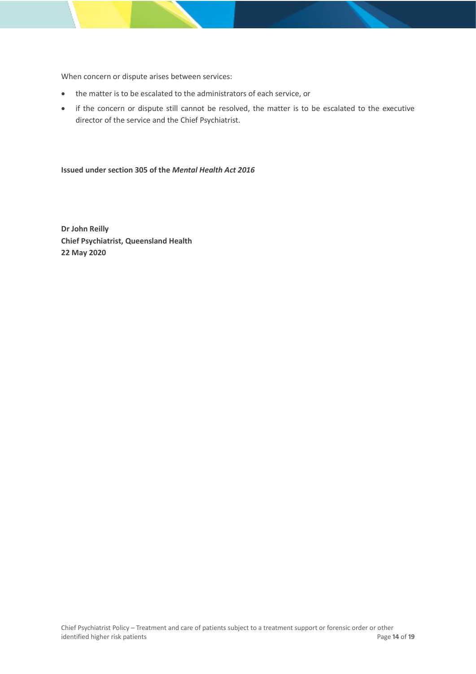When concern or dispute arises between services:

- the matter is to be escalated to the administrators of each service, or
- if the concern or dispute still cannot be resolved, the matter is to be escalated to the executive director of the service and the Chief Psychiatrist.

**Issued under section 305 of the** *Mental Health Act 2016*

**Dr John Reilly Chief Psychiatrist, Queensland Health 22 May 2020**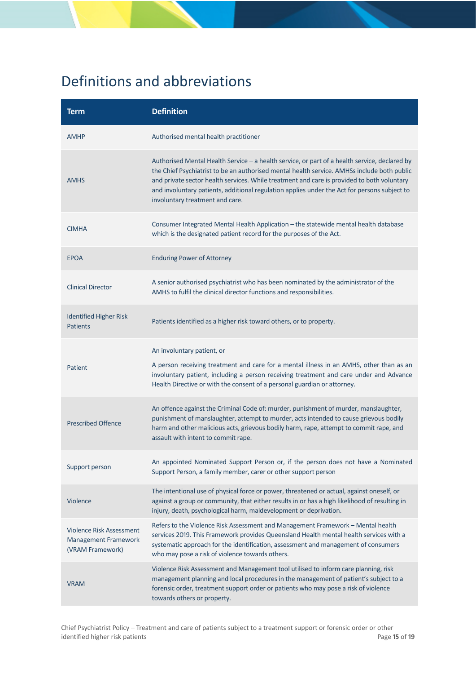# <span id="page-14-0"></span>Definitions and abbreviations

| <b>Term</b>                                                                        | <b>Definition</b>                                                                                                                                                                                                                                                                                                                                                                                                             |
|------------------------------------------------------------------------------------|-------------------------------------------------------------------------------------------------------------------------------------------------------------------------------------------------------------------------------------------------------------------------------------------------------------------------------------------------------------------------------------------------------------------------------|
| <b>AMHP</b>                                                                        | Authorised mental health practitioner                                                                                                                                                                                                                                                                                                                                                                                         |
| <b>AMHS</b>                                                                        | Authorised Mental Health Service - a health service, or part of a health service, declared by<br>the Chief Psychiatrist to be an authorised mental health service. AMHSs include both public<br>and private sector health services. While treatment and care is provided to both voluntary<br>and involuntary patients, additional regulation applies under the Act for persons subject to<br>involuntary treatment and care. |
| <b>CIMHA</b>                                                                       | Consumer Integrated Mental Health Application - the statewide mental health database<br>which is the designated patient record for the purposes of the Act.                                                                                                                                                                                                                                                                   |
| <b>EPOA</b>                                                                        | <b>Enduring Power of Attorney</b>                                                                                                                                                                                                                                                                                                                                                                                             |
| <b>Clinical Director</b>                                                           | A senior authorised psychiatrist who has been nominated by the administrator of the<br>AMHS to fulfil the clinical director functions and responsibilities.                                                                                                                                                                                                                                                                   |
| <b>Identified Higher Risk</b><br><b>Patients</b>                                   | Patients identified as a higher risk toward others, or to property.                                                                                                                                                                                                                                                                                                                                                           |
| Patient                                                                            | An involuntary patient, or<br>A person receiving treatment and care for a mental illness in an AMHS, other than as an<br>involuntary patient, including a person receiving treatment and care under and Advance<br>Health Directive or with the consent of a personal guardian or attorney.                                                                                                                                   |
| <b>Prescribed Offence</b>                                                          | An offence against the Criminal Code of: murder, punishment of murder, manslaughter,<br>punishment of manslaughter, attempt to murder, acts intended to cause grievous bodily<br>harm and other malicious acts, grievous bodily harm, rape, attempt to commit rape, and<br>assault with intent to commit rape.                                                                                                                |
| Support person                                                                     | An appointed Nominated Support Person or, if the person does not have a Nominated<br>Support Person, a family member, carer or other support person                                                                                                                                                                                                                                                                           |
| Violence                                                                           | The intentional use of physical force or power, threatened or actual, against oneself, or<br>against a group or community, that either results in or has a high likelihood of resulting in<br>injury, death, psychological harm, maldevelopment or deprivation.                                                                                                                                                               |
| <b>Violence Risk Assessment</b><br><b>Management Framework</b><br>(VRAM Framework) | Refers to the Violence Risk Assessment and Management Framework - Mental health<br>services 2019. This Framework provides Queensland Health mental health services with a<br>systematic approach for the identification, assessment and management of consumers<br>who may pose a risk of violence towards others.                                                                                                            |
| <b>VRAM</b>                                                                        | Violence Risk Assessment and Management tool utilised to inform care planning, risk<br>management planning and local procedures in the management of patient's subject to a<br>forensic order, treatment support order or patients who may pose a risk of violence<br>towards others or property.                                                                                                                             |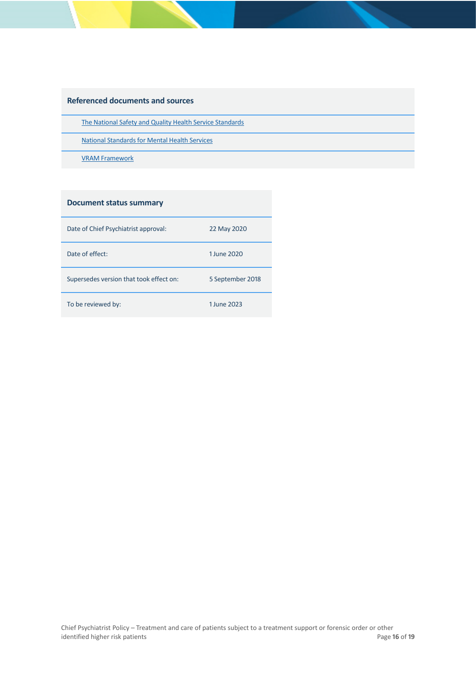#### **Referenced documents and sources**

[The National Safety and Quality Health Service Standards](https://www.safetyandquality.gov.au/sites/default/files/migrated/National-Safety-and-Quality-Health-Service-Standards-second-edition.pdf)

National Standards for Mental Health Services

[VRAM Framework](https://www.health.qld.gov.au/__data/assets/pdf_file/0027/856242/viol-risk-framework.pdf)

#### **Document status summary**

| Date of Chief Psychiatrist approval:    | 22 May 2020      |
|-----------------------------------------|------------------|
| Date of effect:                         | 1 June 2020      |
| Supersedes version that took effect on: | 5 September 2018 |
| To be reviewed by:                      | 1 June 2023      |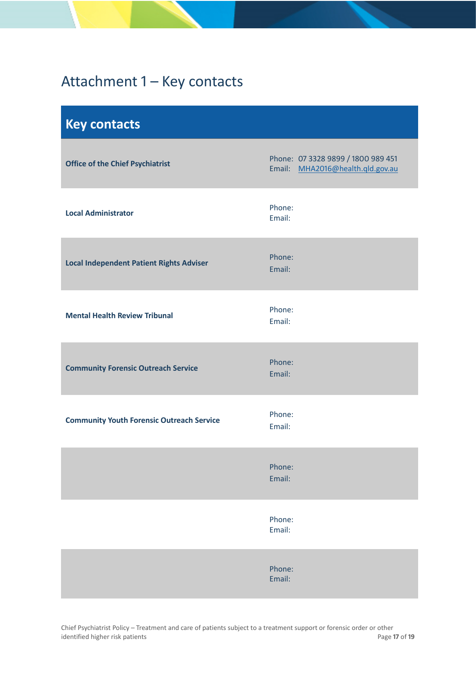# <span id="page-16-0"></span>Attachment 1 – Key contacts

<span id="page-16-1"></span>

| <b>Key contacts</b>                              |                                                                        |
|--------------------------------------------------|------------------------------------------------------------------------|
| <b>Office of the Chief Psychiatrist</b>          | Phone: 07 3328 9899 / 1800 989 451<br>Email: MHA2016@health.qld.gov.au |
| <b>Local Administrator</b>                       | Phone:<br>Email:                                                       |
| <b>Local Independent Patient Rights Adviser</b>  | Phone:<br>Email:                                                       |
| <b>Mental Health Review Tribunal</b>             | Phone:<br>Email:                                                       |
| <b>Community Forensic Outreach Service</b>       | Phone:<br>Email:                                                       |
| <b>Community Youth Forensic Outreach Service</b> | Phone:<br>Email:                                                       |
|                                                  | Phone:<br>Email:                                                       |
|                                                  | Phone:<br>Email:                                                       |
|                                                  | Phone:<br>Email:                                                       |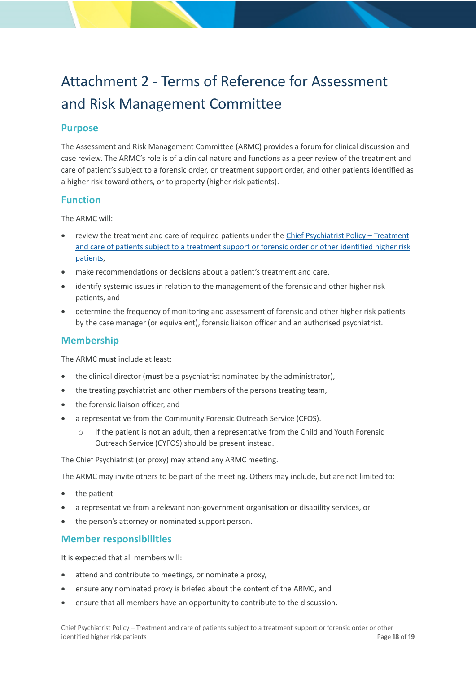# <span id="page-17-0"></span>Attachment 2 - Terms of Reference for Assessment and Risk Management Committee

### **Purpose**

The Assessment and Risk Management Committee (ARMC) provides a forum for clinical discussion and case review. The ARMC's role is of a clinical nature and functions as a peer review of the treatment and care of patient's subject to a forensic order, or treatment support order, and other patients identified as a higher risk toward others, or to property (higher risk patients).

### **Function**

The ARMC will:

- review the treatment and care of required patients under the [Chief Psychiatrist Policy –](https://www.health.qld.gov.au/__data/assets/pdf_file/0028/635932/cpp-forensic-policy.pdf) Treatment [and care of patients subject to a treatment support or forensic order or other identified higher risk](https://www.health.qld.gov.au/__data/assets/pdf_file/0028/635932/cpp-forensic-policy.pdf)  [patients,](https://www.health.qld.gov.au/__data/assets/pdf_file/0028/635932/cpp-forensic-policy.pdf)
- make recommendations or decisions about a patient's treatment and care,
- identify systemic issues in relation to the management of the forensic and other higher risk patients, and
- determine the frequency of monitoring and assessment of forensic and other higher risk patients by the case manager (or equivalent), forensic liaison officer and an authorised psychiatrist.

### **Membership**

The ARMC **must** include at least:

- the clinical director (**must** be a psychiatrist nominated by the administrator),
- the treating psychiatrist and other members of the persons treating team,
- the forensic liaison officer, and
- a representative from the Community Forensic Outreach Service (CFOS).
	- o If the patient is not an adult, then a representative from the Child and Youth Forensic Outreach Service (CYFOS) should be present instead.

The Chief Psychiatrist (or proxy) may attend any ARMC meeting.

The ARMC may invite others to be part of the meeting. Others may include, but are not limited to:

- the patient
- a representative from a relevant non-government organisation or disability services, or
- the person's attorney or nominated support person.

### **Member responsibilities**

It is expected that all members will:

- attend and contribute to meetings, or nominate a proxy,
- ensure any nominated proxy is briefed about the content of the ARMC, and
- ensure that all members have an opportunity to contribute to the discussion.